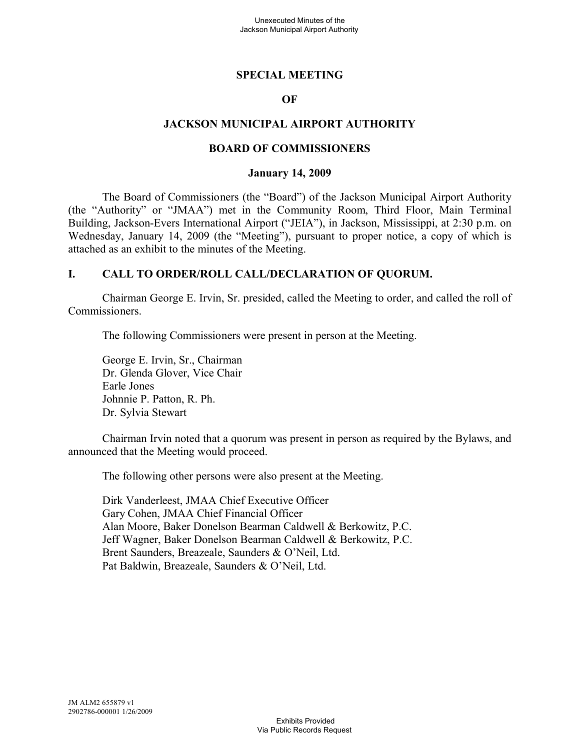### **SPECIAL MEETING**

#### **OF**

#### **JACKSON MUNICIPAL AIRPORT AUTHORITY**

#### **BOARD OF COMMISSIONERS**

#### **January 14, 2009**

The Board of Commissioners (the "Board") of the Jackson Municipal Airport Authority (the "Authority" or "JMAA") met in the Community Room, Third Floor, Main Terminal Building, Jackson-Evers International Airport ("JEIA"), in Jackson, Mississippi, at 2:30 p.m. on Wednesday, January 14, 2009 (the "Meeting"), pursuant to proper notice, a copy of which is attached as an exhibit to the minutes of the Meeting.

#### **I. CALL TO ORDER/ROLL CALL/DECLARATION OF QUORUM.**

Chairman George E. Irvin, Sr. presided, called the Meeting to order, and called the roll of Commissioners.

The following Commissioners were present in person at the Meeting.

George E. Irvin, Sr., Chairman Dr. Glenda Glover, Vice Chair Earle Jones Johnnie P. Patton, R. Ph. Dr. Sylvia Stewart

Chairman Irvin noted that a quorum was present in person as required by the Bylaws, and announced that the Meeting would proceed.

The following other persons were also present at the Meeting.

Dirk Vanderleest, JMAA Chief Executive Officer Gary Cohen, JMAA Chief Financial Officer Alan Moore, Baker Donelson Bearman Caldwell & Berkowitz, P.C. Jeff Wagner, Baker Donelson Bearman Caldwell & Berkowitz, P.C. Brent Saunders, Breazeale, Saunders & O'Neil, Ltd. Pat Baldwin, Breazeale, Saunders & O'Neil, Ltd.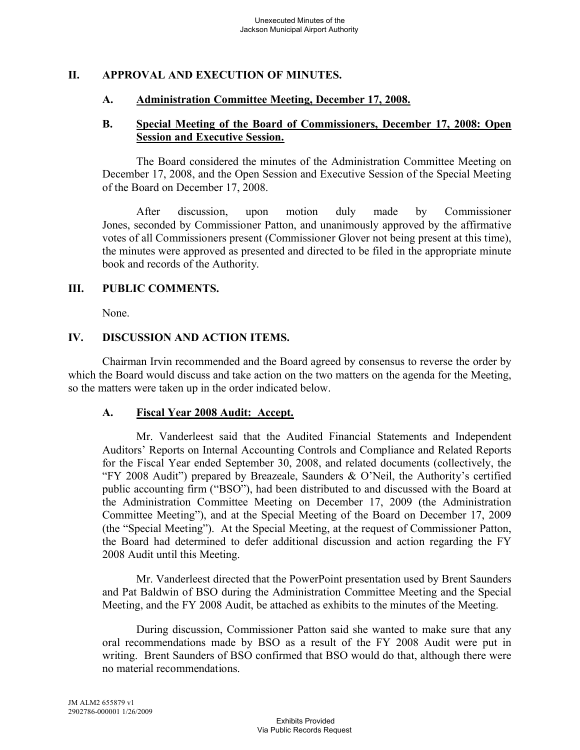### **II. APPROVAL AND EXECUTION OF MINUTES.**

#### **A. Administration Committee Meeting, December 17, 2008.**

#### **B. Special Meeting of the Board of Commissioners, December 17, 2008: Open Session and Executive Session.**

The Board considered the minutes of the Administration Committee Meeting on December 17, 2008, and the Open Session and Executive Session of the Special Meeting of the Board on December 17, 2008.

After discussion, upon motion duly made by Commissioner Jones, seconded by Commissioner Patton, and unanimously approved by the affirmative votes of all Commissioners present (Commissioner Glover not being present at this time), the minutes were approved as presented and directed to be filed in the appropriate minute book and records of the Authority.

### **III. PUBLIC COMMENTS.**

None.

### **IV. DISCUSSION AND ACTION ITEMS.**

Chairman Irvin recommended and the Board agreed by consensus to reverse the order by which the Board would discuss and take action on the two matters on the agenda for the Meeting, so the matters were taken up in the order indicated below.

#### **A. Fiscal Year 2008 Audit: Accept.**

Mr. Vanderleest said that the Audited Financial Statements and Independent Auditors' Reports on Internal Accounting Controls and Compliance and Related Reports for the Fiscal Year ended September 30, 2008, and related documents (collectively, the "FY 2008 Audit") prepared by Breazeale, Saunders & O'Neil, the Authority's certified public accounting firm ("BSO"), had been distributed to and discussed with the Board at the Administration Committee Meeting on December 17, 2009 (the Administration Committee Meeting"), and at the Special Meeting of the Board on December 17, 2009 (the "Special Meeting"). At the Special Meeting, at the request of Commissioner Patton, the Board had determined to defer additional discussion and action regarding the FY 2008 Audit until this Meeting.

Mr. Vanderleest directed that the PowerPoint presentation used by Brent Saunders and Pat Baldwin of BSO during the Administration Committee Meeting and the Special Meeting, and the FY 2008 Audit, be attached as exhibits to the minutes of the Meeting.

During discussion, Commissioner Patton said she wanted to make sure that any oral recommendations made by BSO as a result of the FY 2008 Audit were put in writing. Brent Saunders of BSO confirmed that BSO would do that, although there were no material recommendations.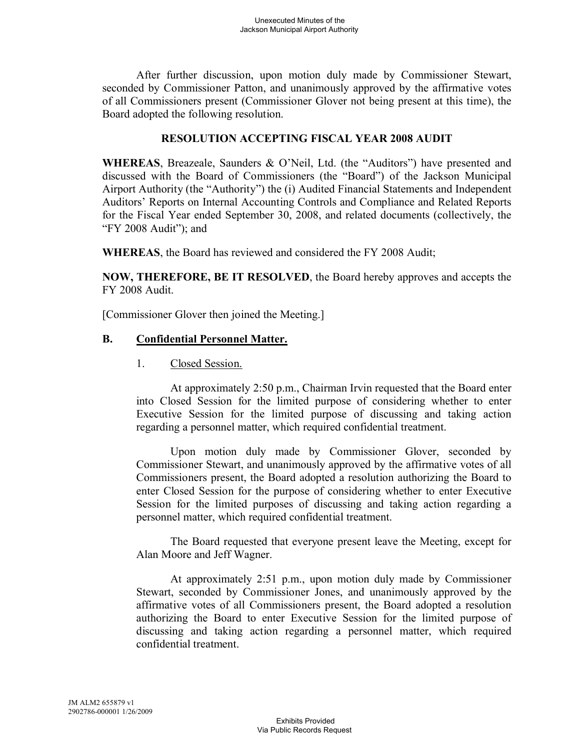After further discussion, upon motion duly made by Commissioner Stewart, seconded by Commissioner Patton, and unanimously approved by the affirmative votes of all Commissioners present (Commissioner Glover not being present at this time), the Board adopted the following resolution.

### **RESOLUTION ACCEPTING FISCAL YEAR 2008 AUDIT**

**WHEREAS**, Breazeale, Saunders & O'Neil, Ltd. (the "Auditors") have presented and discussed with the Board of Commissioners (the "Board") of the Jackson Municipal Airport Authority (the "Authority") the (i) Audited Financial Statements and Independent Auditors' Reports on Internal Accounting Controls and Compliance and Related Reports for the Fiscal Year ended September 30, 2008, and related documents (collectively, the "FY 2008 Audit"); and

**WHEREAS**, the Board has reviewed and considered the FY 2008 Audit;

**NOW, THEREFORE, BE IT RESOLVED**, the Board hereby approves and accepts the FY 2008 Audit.

[Commissioner Glover then joined the Meeting.]

## **B. Confidential Personnel Matter.**

### 1. Closed Session.

At approximately 2:50 p.m., Chairman Irvin requested that the Board enter into Closed Session for the limited purpose of considering whether to enter Executive Session for the limited purpose of discussing and taking action regarding a personnel matter, which required confidential treatment.

Upon motion duly made by Commissioner Glover, seconded by Commissioner Stewart, and unanimously approved by the affirmative votes of all Commissioners present, the Board adopted a resolution authorizing the Board to enter Closed Session for the purpose of considering whether to enter Executive Session for the limited purposes of discussing and taking action regarding a personnel matter, which required confidential treatment.

The Board requested that everyone present leave the Meeting, except for Alan Moore and Jeff Wagner.

At approximately 2:51 p.m., upon motion duly made by Commissioner Stewart, seconded by Commissioner Jones, and unanimously approved by the affirmative votes of all Commissioners present, the Board adopted a resolution authorizing the Board to enter Executive Session for the limited purpose of discussing and taking action regarding a personnel matter, which required confidential treatment.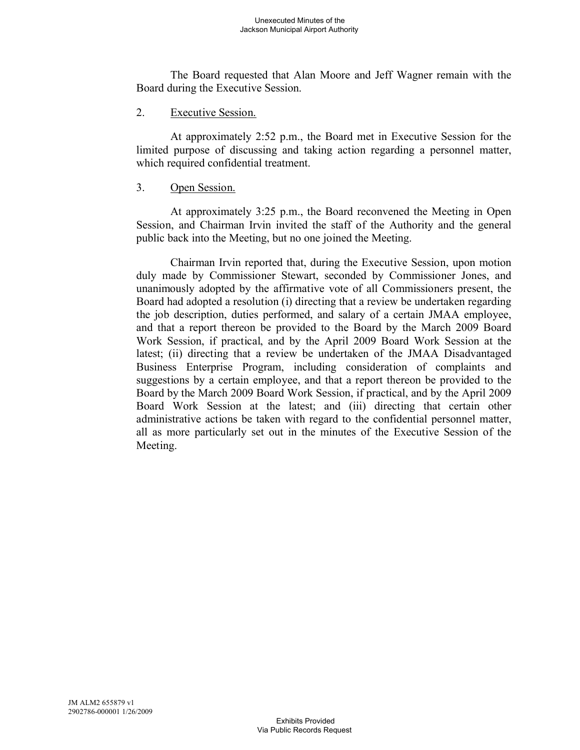The Board requested that Alan Moore and Jeff Wagner remain with the Board during the Executive Session.

#### 2. Executive Session.

At approximately 2:52 p.m., the Board met in Executive Session for the limited purpose of discussing and taking action regarding a personnel matter, which required confidential treatment.

### 3. Open Session.

At approximately 3:25 p.m., the Board reconvened the Meeting in Open Session, and Chairman Irvin invited the staff of the Authority and the general public back into the Meeting, but no one joined the Meeting.

Chairman Irvin reported that, during the Executive Session, upon motion duly made by Commissioner Stewart, seconded by Commissioner Jones, and unanimously adopted by the affirmative vote of all Commissioners present, the Board had adopted a resolution (i) directing that a review be undertaken regarding the job description, duties performed, and salary of a certain JMAA employee, and that a report thereon be provided to the Board by the March 2009 Board Work Session, if practical, and by the April 2009 Board Work Session at the latest; (ii) directing that a review be undertaken of the JMAA Disadvantaged Business Enterprise Program, including consideration of complaints and suggestions by a certain employee, and that a report thereon be provided to the Board by the March 2009 Board Work Session, if practical, and by the April 2009 Board Work Session at the latest; and (iii) directing that certain other administrative actions be taken with regard to the confidential personnel matter, all as more particularly set out in the minutes of the Executive Session of the Meeting.